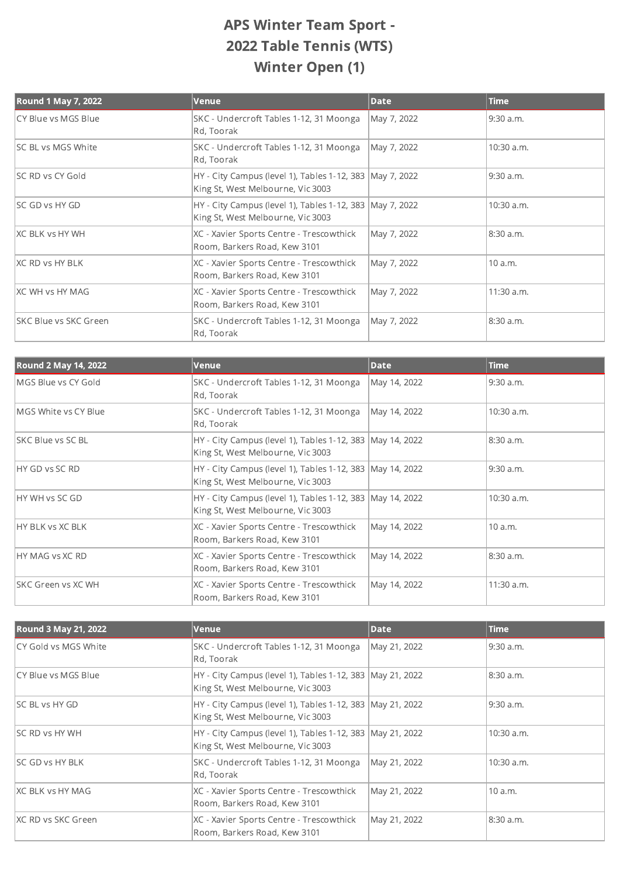## APS Winter Team Sport - 2022 Table Tennis (WTS) Winter Open (1)

| <b>Round 1 May 7, 2022</b>   | Venue                                                                                           | <b>Date</b> | <b>Time</b> |
|------------------------------|-------------------------------------------------------------------------------------------------|-------------|-------------|
| CY Blue vs MGS Blue          | SKC - Undercroft Tables 1-12, 31 Moonga<br>Rd, Toorak                                           | May 7, 2022 | 9:30 a.m.   |
| <b>SC BL vs MGS White</b>    | SKC - Undercroft Tables 1-12, 31 Moonga<br>Rd, Toorak                                           | May 7, 2022 | 10:30 a.m.  |
| <b>SC RD vs CY Gold</b>      | HY - City Campus (level 1), Tables 1-12, 383   May 7, 2022<br>King St, West Melbourne, Vic 3003 |             | 9:30 a.m.   |
| <b>SC GD vs HY GD</b>        | HY - City Campus (level 1), Tables 1-12, 383   May 7, 2022<br>King St, West Melbourne, Vic 3003 |             | 10:30 a.m.  |
| <b>XC BLK vs HY WH</b>       | XC - Xavier Sports Centre - Trescowthick<br>Room, Barkers Road, Kew 3101                        | May 7, 2022 | 8:30 a.m.   |
| XC RD vs HY BLK              | XC - Xavier Sports Centre - Trescowthick<br>Room, Barkers Road, Kew 3101                        | May 7, 2022 | 10 a.m.     |
| <b>IXC WH vs HY MAG</b>      | XC - Xavier Sports Centre - Trescowthick<br>Room, Barkers Road, Kew 3101                        | May 7, 2022 | 11:30 a.m.  |
| <b>SKC Blue vs SKC Green</b> | SKC - Undercroft Tables 1-12, 31 Moonga<br>Rd, Toorak                                           | May 7, 2022 | 8:30 a.m.   |

| <b>Round 2 May 14, 2022</b> | Venue                                                                                            | <b>Date</b>  | <b>Time</b> |
|-----------------------------|--------------------------------------------------------------------------------------------------|--------------|-------------|
| MGS Blue vs CY Gold         | SKC - Undercroft Tables 1-12, 31 Moonga<br>Rd, Toorak                                            | May 14, 2022 | $9:30$ a.m. |
| MGS White vs CY Blue        | SKC - Undercroft Tables 1-12, 31 Moonga<br>Rd, Toorak                                            | May 14, 2022 | 10:30 a.m.  |
| <b>ISKC Blue vs SC BL</b>   | HY - City Campus (level 1), Tables 1-12, 383 May 14, 2022<br>King St, West Melbourne, Vic 3003   |              | 8:30 a.m.   |
| HY GD vs SC RD              | HY - City Campus (level 1), Tables 1-12, 383   May 14, 2022<br>King St, West Melbourne, Vic 3003 |              | $9:30$ a.m. |
| HY WH vs SC GD              | HY - City Campus (level 1), Tables 1-12, 383   May 14, 2022<br>King St, West Melbourne, Vic 3003 |              | 10:30 a.m.  |
| HY BLK vs XC BLK            | XC - Xavier Sports Centre - Trescowthick<br>Room, Barkers Road, Kew 3101                         | May 14, 2022 | 10 a.m.     |
| HY MAG vs XC RD             | XC - Xavier Sports Centre - Trescowthick<br>Room, Barkers Road, Kew 3101                         | May 14, 2022 | 8:30 a.m.   |
| ISKC Green vs XC WH         | XC - Xavier Sports Centre - Trescowthick<br>Room, Barkers Road, Kew 3101                         | May 14, 2022 | 11:30 a.m.  |

| <b>Round 3 May 21, 2022</b> | Venue                                                                                            | <b>Date</b>  | <b>Time</b>  |
|-----------------------------|--------------------------------------------------------------------------------------------------|--------------|--------------|
| CY Gold vs MGS White        | SKC - Undercroft Tables 1-12, 31 Moonga<br>Rd, Toorak                                            | May 21, 2022 | 9:30 a.m.    |
| ICY Blue vs MGS Blue        | HY - City Campus (level 1), Tables 1-12, 383   May 21, 2022<br>King St, West Melbourne, Vic 3003 |              | 8:30 a.m.    |
| <b>ISC BL vs HY GD</b>      | HY - City Campus (level 1), Tables 1-12, 383 May 21, 2022<br>King St, West Melbourne, Vic 3003   |              | 9:30 a.m.    |
| <b>ISC RD vs HY WH</b>      | HY - City Campus (level 1), Tables 1-12, 383 May 21, 2022<br>King St, West Melbourne, Vic 3003   |              | 10:30 a.m.   |
| <b>SC GD vs HY BLK</b>      | SKC - Undercroft Tables 1-12, 31 Moonga<br>Rd, Toorak                                            | May 21, 2022 | $10:30$ a.m. |
| <b>XC BLK vs HY MAG</b>     | XC - Xavier Sports Centre - Trescowthick<br>Room, Barkers Road, Kew 3101                         | May 21, 2022 | 10 a.m.      |
| IXC RD vs SKC Green         | XC - Xavier Sports Centre - Trescowthick<br>Room, Barkers Road, Kew 3101                         | May 21, 2022 | 8:30 a.m.    |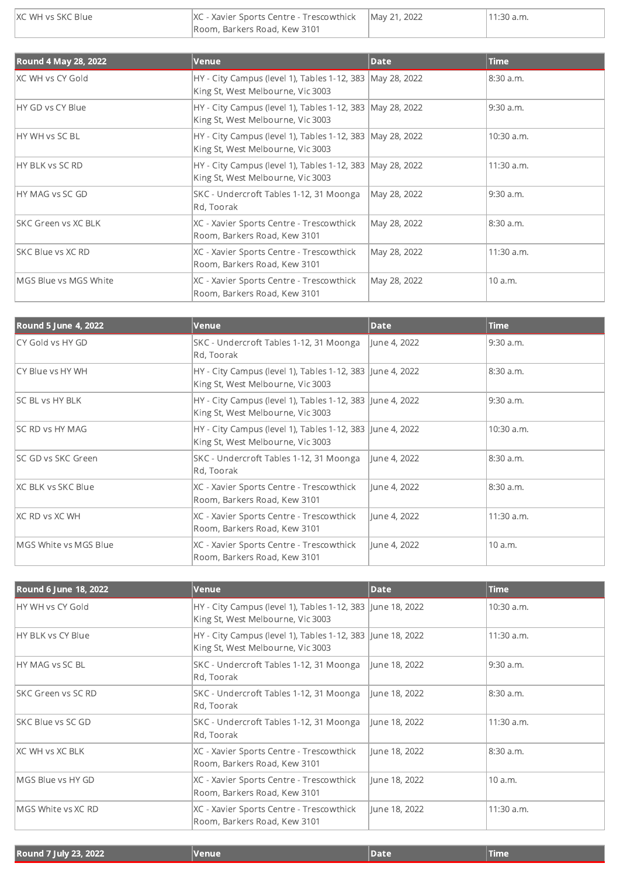| IXC WH vs SKC Blue | $ XC - Xavier Sports Centre - Trescowthick   May 21, 2022$ | $11:30$ a.m. |
|--------------------|------------------------------------------------------------|--------------|
|                    |                                                            |              |
|                    | Room, Barkers Road, Kew 3101                               |              |

| <b>Round 4 May 28, 2022</b> | Venue                                                                                            | <b>Date</b>  | <b>Time</b>  |
|-----------------------------|--------------------------------------------------------------------------------------------------|--------------|--------------|
| IXC WH vs CY Gold           | HY - City Campus (level 1), Tables 1-12, 383   May 28, 2022<br>King St, West Melbourne, Vic 3003 |              | 8:30 a.m.    |
| HY GD vs CY Blue            | HY - City Campus (level 1), Tables 1-12, 383   May 28, 2022<br>King St, West Melbourne, Vic 3003 |              | $9:30$ a.m.  |
| HY WH vs SC BL              | HY - City Campus (level 1), Tables 1-12, 383   May 28, 2022<br>King St, West Melbourne, Vic 3003 |              | 10:30 a.m.   |
| HY BLK vs SC RD             | HY - City Campus (level 1), Tables 1-12, 383   May 28, 2022<br>King St, West Melbourne, Vic 3003 |              | 11:30 a.m.   |
| HY MAG vs SC GD             | SKC - Undercroft Tables 1-12, 31 Moonga<br>Rd, Toorak                                            | May 28, 2022 | $9:30$ a.m.  |
| <b>ISKC Green vs XC BLK</b> | XC - Xavier Sports Centre - Trescowthick<br>Room, Barkers Road, Kew 3101                         | May 28, 2022 | 8:30 a.m.    |
| SKC Blue vs XC RD           | XC - Xavier Sports Centre - Trescowthick<br>Room, Barkers Road, Kew 3101                         | May 28, 2022 | $11:30$ a.m. |
| MGS Blue vs MGS White       | XC - Xavier Sports Centre - Trescowthick<br>Room, Barkers Road, Kew 3101                         | May 28, 2022 | 10 a.m.      |
|                             |                                                                                                  |              |              |

| <b>Round 5 June 4, 2022</b> | Venue                                                                                          | <b>Date</b>  | <b>Time</b> |
|-----------------------------|------------------------------------------------------------------------------------------------|--------------|-------------|
| CY Gold vs HY GD            | SKC - Undercroft Tables 1-12, 31 Moonga<br>Rd, Toorak                                          | June 4, 2022 | $9:30$ a.m. |
| CY Blue vs HY WH            | HY - City Campus (level 1), Tables 1-12, 383 June 4, 2022<br>King St, West Melbourne, Vic 3003 |              | 8:30 a.m.   |
| <b>SC BL vs HY BLK</b>      | HY - City Campus (level 1), Tables 1-12, 383 June 4, 2022<br>King St, West Melbourne, Vic 3003 |              | $9:30$ a.m. |
| <b>SC RD vs HY MAG</b>      | HY - City Campus (level 1), Tables 1-12, 383 June 4, 2022<br>King St, West Melbourne, Vic 3003 |              | 10:30 a.m.  |
| ISC GD vs SKC Green         | SKC - Undercroft Tables 1-12, 31 Moonga<br>Rd, Toorak                                          | June 4, 2022 | 8:30 a.m.   |
| IXC BLK vs SKC Blue         | XC - Xavier Sports Centre - Trescowthick<br>Room, Barkers Road, Kew 3101                       | June 4, 2022 | 8:30 a.m.   |
| XC RD vs XC WH              | XC - Xavier Sports Centre - Trescowthick<br>Room, Barkers Road, Kew 3101                       | June 4, 2022 | 11:30 a.m.  |
| MGS White vs MGS Blue       | XC - Xavier Sports Centre - Trescowthick<br>Room, Barkers Road, Kew 3101                       | June 4, 2022 | 10 a.m.     |

| <b>Round 6 June 18, 2022</b> | <b>Venue</b>                                                                                    | <b>Date</b>   | <b>Time</b> |
|------------------------------|-------------------------------------------------------------------------------------------------|---------------|-------------|
| HY WH vs CY Gold             | HY - City Campus (level 1), Tables 1-12, 383 June 18, 2022<br>King St, West Melbourne, Vic 3003 |               | 10:30 a.m.  |
| <b>HY BLK vs CY Blue</b>     | HY - City Campus (level 1), Tables 1-12, 383 June 18, 2022<br>King St, West Melbourne, Vic 3003 |               | 11:30 a.m.  |
| <b>IHY MAG vs SC BL</b>      | SKC - Undercroft Tables 1-12, 31 Moonga<br>Rd, Toorak                                           | June 18, 2022 | $9:30$ a.m. |
| <b>ISKC Green vs SC RD</b>   | SKC - Undercroft Tables 1-12, 31 Moonga<br>Rd, Toorak                                           | June 18, 2022 | 8:30 a.m.   |
| <b>SKC Blue vs SC GD</b>     | SKC - Undercroft Tables 1-12, 31 Moonga<br>Rd, Toorak                                           | June 18, 2022 | 11:30 a.m.  |
| IXC WH vs XC BLK             | XC - Xavier Sports Centre - Trescowthick<br>Room, Barkers Road, Kew 3101                        | June 18, 2022 | 8:30 a.m.   |
| MGS Blue vs HY GD            | XC - Xavier Sports Centre - Trescowthick<br>Room, Barkers Road, Kew 3101                        | June 18, 2022 | 10 a.m.     |
| MGS White vs XC RD           | XC - Xavier Sports Centre - Trescowthick<br>Room, Barkers Road, Kew 3101                        | June 18, 2022 | 11:30 a.m.  |

| Round 7 July 23, 2022 | <u> </u> Venue | Date | Time |
|-----------------------|----------------|------|------|
|                       |                |      |      |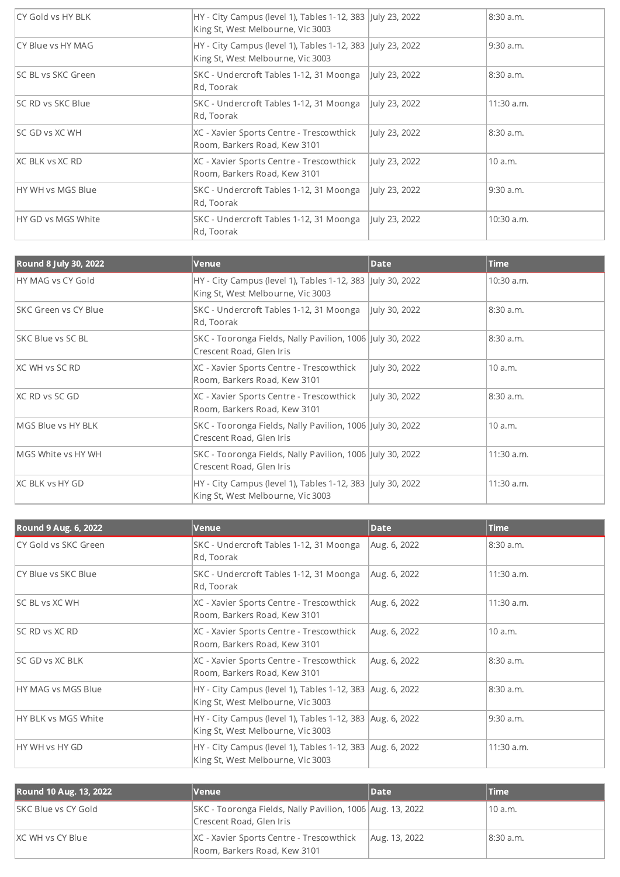| <b>CY Gold vs HY BLK</b>   | HY - City Campus (level 1), Tables 1-12, 383 July 23, 2022<br>King St, West Melbourne, Vic 3003 |               | 8:30 a.m.  |
|----------------------------|-------------------------------------------------------------------------------------------------|---------------|------------|
| CY Blue vs HY MAG          | HY - City Campus (level 1), Tables 1-12, 383 July 23, 2022<br>King St, West Melbourne, Vic 3003 |               | 9:30 a.m.  |
| <b>ISC BL vs SKC Green</b> | SKC - Undercroft Tables 1-12, 31 Moonga<br>Rd, Toorak                                           | July 23, 2022 | 8:30 a.m.  |
| <b>SC RD vs SKC Blue</b>   | SKC - Undercroft Tables 1-12, 31 Moonga<br>Rd, Toorak                                           | July 23, 2022 | 11:30 a.m. |
| <b>SC GD vs XC WH</b>      | XC - Xavier Sports Centre - Trescowthick<br>Room, Barkers Road, Kew 3101                        | July 23, 2022 | 8:30 a.m.  |
| <b>XC BLK vs XC RD</b>     | XC - Xavier Sports Centre - Trescowthick<br>Room, Barkers Road, Kew 3101                        | July 23, 2022 | 10 a.m.    |
| <b>HY WH vs MGS Blue</b>   | SKC - Undercroft Tables 1-12, 31 Moonga<br>Rd, Toorak                                           | July 23, 2022 | 9:30 a.m.  |
| <b>HY GD vs MGS White</b>  | SKC - Undercroft Tables 1-12, 31 Moonga<br>Rd, Toorak                                           | July 23, 2022 | 10:30 a.m. |

| <b>Round 8 July 30, 2022</b> | <b>Venue</b>                                                                                    | <b>Date</b>   | <b>Time</b> |
|------------------------------|-------------------------------------------------------------------------------------------------|---------------|-------------|
| HY MAG vs CY Gold            | HY - City Campus (level 1), Tables 1-12, 383 July 30, 2022<br>King St, West Melbourne, Vic 3003 |               | 10:30 a.m.  |
| <b>ISKC Green vs CY Blue</b> | SKC - Undercroft Tables 1-12, 31 Moonga<br>Rd, Toorak                                           | July 30, 2022 | 8:30 a.m.   |
| <b>SKC Blue vs SC BL</b>     | SKC - Tooronga Fields, Nally Pavilion, 1006 July 30, 2022<br>Crescent Road, Glen Iris           |               | 8:30 a.m.   |
| IXC WH vs SC RD              | XC - Xavier Sports Centre - Trescowthick<br>Room, Barkers Road, Kew 3101                        | July 30, 2022 | 10 a.m.     |
| <b>XC RD vs SC GD</b>        | XC - Xavier Sports Centre - Trescowthick<br>Room, Barkers Road, Kew 3101                        | July 30, 2022 | 8:30 a.m.   |
| MGS Blue vs HY BLK           | SKC - Tooronga Fields, Nally Pavilion, 1006 July 30, 2022<br>Crescent Road, Glen Iris           |               | 10 a.m.     |
| MGS White vs HY WH           | SKC - Tooronga Fields, Nally Pavilion, 1006 July 30, 2022<br>Crescent Road, Glen Iris           |               | 11:30 a.m.  |
| <b>XC BLK vs HY GD</b>       | HY - City Campus (level 1), Tables 1-12, 383 July 30, 2022<br>King St, West Melbourne, Vic 3003 |               | 11:30 a.m.  |

| Round 9 Aug. 6, 2022    | Venue                                                                                            | <b>Date</b>  | <b>Time</b> |
|-------------------------|--------------------------------------------------------------------------------------------------|--------------|-------------|
| CY Gold vs SKC Green    | SKC - Undercroft Tables 1-12, 31 Moonga<br>Rd, Toorak                                            | Aug. 6, 2022 | 8:30 a.m.   |
| CY Blue vs SKC Blue     | SKC - Undercroft Tables 1-12, 31 Moonga<br>Rd, Toorak                                            | Aug. 6, 2022 | 11:30 a.m.  |
| <b>SC BL vs XC WH</b>   | XC - Xavier Sports Centre - Trescowthick<br>Room, Barkers Road, Kew 3101                         | Aug. 6, 2022 | 11:30 a.m.  |
| <b>SC RD vs XC RD</b>   | XC - Xavier Sports Centre - Trescowthick<br>Room, Barkers Road, Kew 3101                         | Aug. 6, 2022 | 10 a.m.     |
| <b>ISC GD vs XC BLK</b> | XC - Xavier Sports Centre - Trescowthick<br>Room, Barkers Road, Kew 3101                         | Aug. 6, 2022 | 8:30 a.m.   |
| HY MAG vs MGS Blue      | HY - City Campus (level 1), Tables 1-12, 383 Aug. 6, 2022<br>King St, West Melbourne, Vic 3003   |              | 8:30 a.m.   |
| HY BLK vs MGS White     | HY - City Campus (level 1), Tables 1-12, 383 Aug. 6, 2022<br>King St, West Melbourne, Vic 3003   |              | $9:30$ a.m. |
| HY WH vs HY GD          | HY - City Campus (level 1), Tables 1-12, 383   Aug. 6, 2022<br>King St, West Melbourne, Vic 3003 |              | 11:30 a.m.  |

| Round 10 Aug. 13, 2022 | <b>Venue</b>                                                                          | Date          | <b>Time</b> |
|------------------------|---------------------------------------------------------------------------------------|---------------|-------------|
| ISKC Blue vs CY Gold   | SKC - Tooronga Fields, Nally Pavilion, 1006 Aug. 13, 2022<br>Crescent Road, Glen Iris |               | 110 a.m.    |
| IXC WH vs CY Blue      | XC - Xavier Sports Centre - Trescowthick<br>Room, Barkers Road, Kew 3101              | Aug. 13, 2022 | 18:30 a.m.  |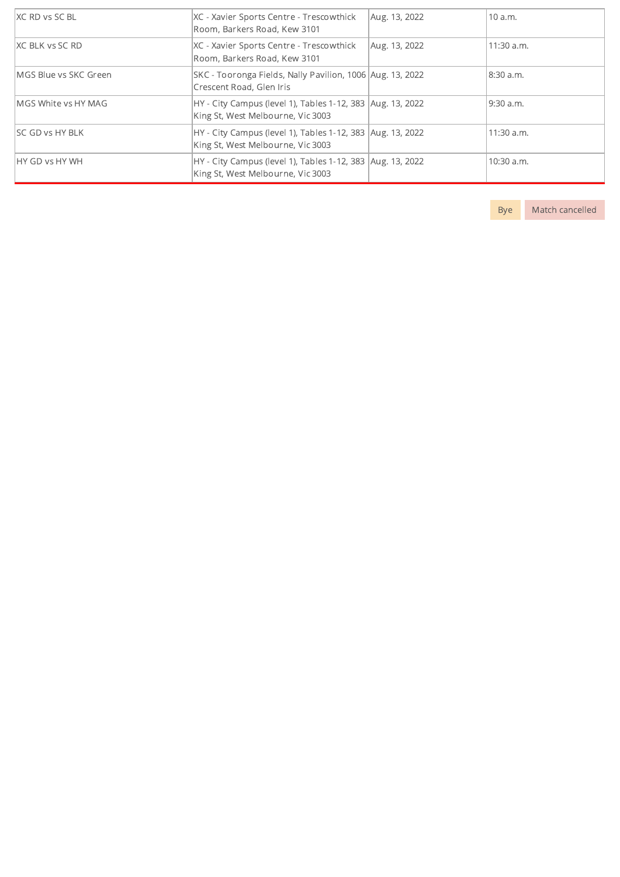| XC RD vs SC BL              | XC - Xavier Sports Centre - Trescowthick<br>Room, Barkers Road, Kew 3101                          | Aug. 13, 2022 | 10a.m.     |
|-----------------------------|---------------------------------------------------------------------------------------------------|---------------|------------|
| <b>IXC BLK vs SC RD</b>     | XC - Xavier Sports Centre - Trescowthick<br>Room, Barkers Road, Kew 3101                          | Aug. 13, 2022 | 11:30 a.m. |
| MGS Blue vs SKC Green       | SKC - Tooronga Fields, Nally Pavilion, 1006 Aug. 13, 2022<br>Crescent Road, Glen Iris             |               | 8:30 a.m.  |
| <b>IMGS White vs HY MAG</b> | HY - City Campus (level 1), Tables 1-12, 383 Aug. 13, 2022<br>King St, West Melbourne, Vic 3003   |               | 9:30 a.m.  |
| <b>SC GD vs HY BLK</b>      | HY - City Campus (level 1), Tables 1-12, 383 Aug. 13, 2022<br>King St, West Melbourne, Vic 3003   |               | 11:30 a.m. |
| <b>HY GD vs HY WH</b>       | HY - City Campus (level 1), Tables 1-12, 383   Aug. 13, 2022<br>King St, West Melbourne, Vic 3003 |               | 10:30 a.m. |

Bye Match cancelled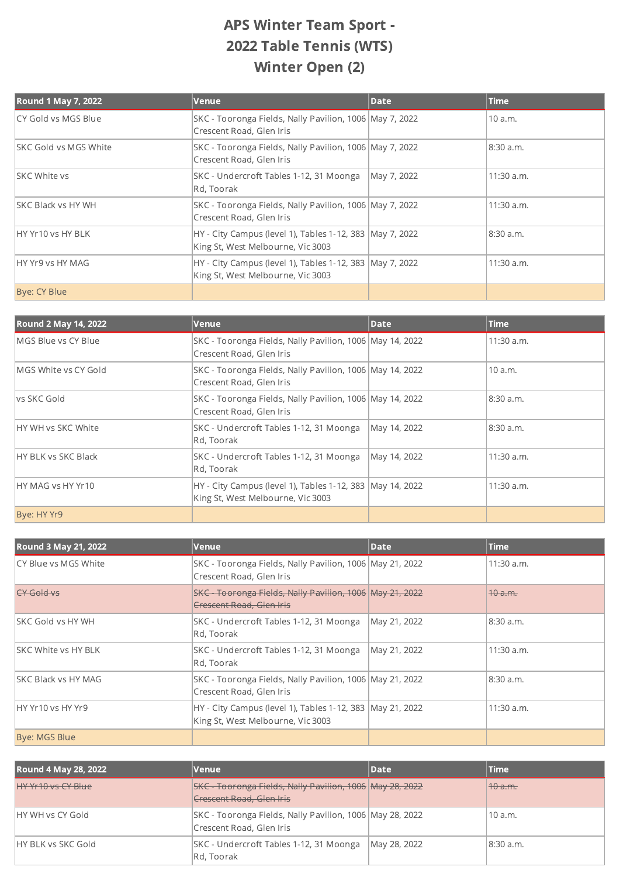## APS Winter Team Sport - 2022 Table Tennis (WTS) Winter Open (2)

| <b>Round 1 May 7, 2022</b>   | Venue                                                                                           | <b>Date</b> | <b>Time</b>  |
|------------------------------|-------------------------------------------------------------------------------------------------|-------------|--------------|
| CY Gold vs MGS Blue          | SKC - Tooronga Fields, Nally Pavilion, 1006 May 7, 2022<br>Crescent Road, Glen Iris             |             | 10 a.m.      |
| <b>SKC Gold vs MGS White</b> | SKC - Tooronga Fields, Nally Pavilion, 1006 May 7, 2022<br>Crescent Road, Glen Iris             |             | 8:30 a.m.    |
| ISKC White vs                | SKC - Undercroft Tables 1-12, 31 Moonga<br>Rd, Toorak                                           | May 7, 2022 | $11:30$ a.m. |
| <b>ISKC Black vs HY WH</b>   | SKC - Tooronga Fields, Nally Pavilion, 1006 May 7, 2022<br>Crescent Road, Glen Iris             |             | 11:30 a.m.   |
| HY Yr10 vs HY BLK            | HY - City Campus (level 1), Tables 1-12, 383   May 7, 2022<br>King St, West Melbourne, Vic 3003 |             | 8:30a.m.     |
| IHY Yr9 vs HY MAG            | HY - City Campus (level 1), Tables 1-12, 383   May 7, 2022<br>King St, West Melbourne, Vic 3003 |             | 11:30 a.m.   |
| Bye: CY Blue                 |                                                                                                 |             |              |

| Round 2 May 14, 2022        | Venue                                                                                          | <b>Date</b>  | <b>Time</b>  |
|-----------------------------|------------------------------------------------------------------------------------------------|--------------|--------------|
| <b>IMGS Blue vs CY Blue</b> | SKC - Tooronga Fields, Nally Pavilion, 1006 May 14, 2022<br>Crescent Road, Glen Iris           |              | $11:30$ a.m. |
| MGS White vs CY Gold        | SKC - Tooronga Fields, Nally Pavilion, 1006 May 14, 2022<br>Crescent Road, Glen Iris           |              | 10 a.m.      |
| lys SKC Gold                | SKC - Tooronga Fields, Nally Pavilion, 1006 May 14, 2022<br>Crescent Road, Glen Iris           |              | 8:30 a.m.    |
| <b>IHY WH vs SKC White</b>  | SKC - Undercroft Tables 1-12, 31 Moonga<br>Rd, Toorak                                          | May 14, 2022 | 8:30 a.m.    |
| <b>HY BLK vs SKC Black</b>  | SKC - Undercroft Tables 1-12, 31 Moonga<br>Rd, Toorak                                          | May 14, 2022 | 11:30 a.m.   |
| <b>IHY MAG vs HY Yr10</b>   | HY - City Campus (level 1), Tables 1-12, 383 May 14, 2022<br>King St, West Melbourne, Vic 3003 |              | 11:30 a.m.   |
| Bye: HY Yr9                 |                                                                                                |              |              |

| <b>Round 3 May 21, 2022</b> | Venue                                                                                          | Date         | <b>Time</b>        |
|-----------------------------|------------------------------------------------------------------------------------------------|--------------|--------------------|
| ICY Blue vs MGS White       | SKC - Tooronga Fields, Nally Pavilion, 1006 May 21, 2022<br>Crescent Road, Glen Iris           |              | 11:30 a.m.         |
| <del>CY Gold vs</del>       | SKC - Tooronga Fields, Nally Pavilion, 1006 May 21, 2022<br><b>Crescent Road, Glen Iris</b>    |              | <del>10 a.m.</del> |
| ISKC Gold vs HY WH          | SKC - Undercroft Tables 1-12, 31 Moonga<br>Rd, Toorak                                          | May 21, 2022 | 8:30a.m.           |
| <b>ISKC White vs HY BLK</b> | SKC - Undercroft Tables 1-12, 31 Moonga<br>Rd, Toorak                                          | May 21, 2022 | $11:30$ a.m.       |
| <b>ISKC Black vs HY MAG</b> | SKC - Tooronga Fields, Nally Pavilion, 1006 May 21, 2022<br>Crescent Road, Glen Iris           |              | 8:30 a.m.          |
| HY Yr10 vs HY Yr9           | HY - City Campus (level 1), Tables 1-12, 383 May 21, 2022<br>King St, West Melbourne, Vic 3003 |              | $11:30$ a.m.       |
| Bye: MGS Blue               |                                                                                                |              |                    |

| <b>Round 4 May 28, 2022</b> | Venue                                                                                     | Date         | Time      |
|-----------------------------|-------------------------------------------------------------------------------------------|--------------|-----------|
| HY Yr10 vs CY Blue          | SKC Tooronga Fields, Nally Pavilion, 1006 May 28, 2022<br><b>Crescent Road, Glen Iris</b> |              | 40a.m.    |
| IHY WH vs CY Gold           | SKC - Tooronga Fields, Nally Pavilion, 1006 May 28, 2022<br>Crescent Road, Glen Iris      |              | 10a.m.    |
| IHY BLK vs SKC Gold         | SKC - Undercroft Tables 1-12, 31 Moonga<br>Rd, Toorak                                     | May 28, 2022 | 8:30 a.m. |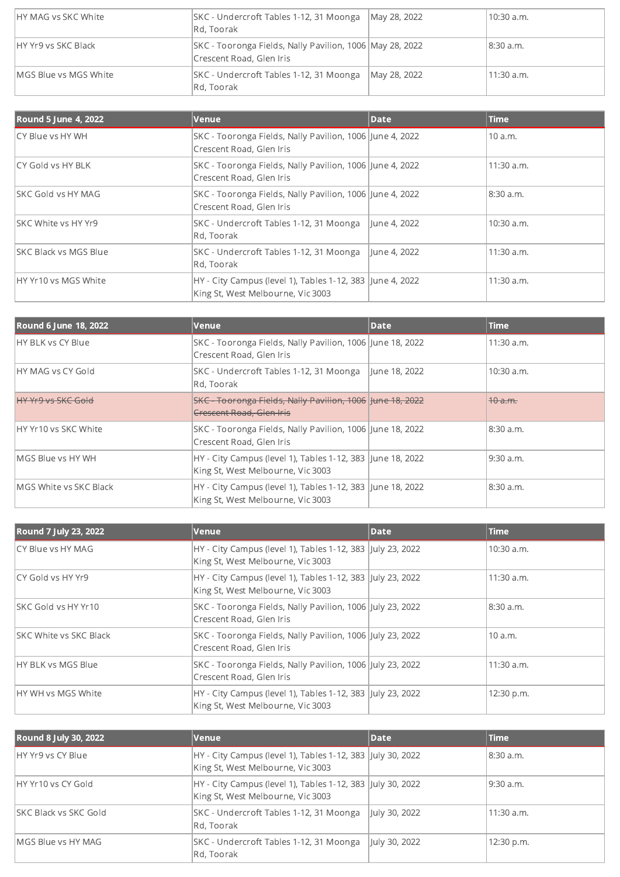| IHY MAG vs SKC White  | SKC - Undercroft Tables 1-12, 31 Moonga<br>Rd, Toorak                                | May 28, 2022 | 10:30 a.m.   |
|-----------------------|--------------------------------------------------------------------------------------|--------------|--------------|
| HY Yr9 vs SKC Black   | SKC - Tooronga Fields, Nally Pavilion, 1006 May 28, 2022<br>Crescent Road, Glen Iris |              | 18:30 a.m.   |
| MGS Blue vs MGS White | SKC - Undercroft Tables 1-12, 31 Moonga<br>Rd, Toorak                                | May 28, 2022 | $11:30$ a.m. |

| <b>Round 5 June 4, 2022</b>   | Venue                                                                                          | <b>Date</b>  | Time         |
|-------------------------------|------------------------------------------------------------------------------------------------|--------------|--------------|
| ICY Blue vs HY WH             | SKC - Tooronga Fields, Nally Pavilion, 1006 June 4, 2022<br>Crescent Road, Glen Iris           |              | 10 a.m.      |
| CY Gold vs HY BLK             | SKC - Tooronga Fields, Nally Pavilion, 1006 June 4, 2022<br>Crescent Road, Glen Iris           |              | $11:30$ a.m. |
| <b>ISKC Gold vs HY MAG</b>    | SKC - Tooronga Fields, Nally Pavilion, 1006 June 4, 2022<br>Crescent Road, Glen Iris           |              | 8:30 a.m.    |
| <b>SKC White vs HY Yr9</b>    | SKC - Undercroft Tables 1-12, 31 Moonga<br>Rd, Toorak                                          | lune 4, 2022 | $10:30$ a.m. |
| <b>ISKC Black vs MGS Blue</b> | SKC - Undercroft Tables 1-12, 31 Moonga<br>Rd, Toorak                                          | June 4, 2022 | 11:30 a.m.   |
| HY Yr10 vs MGS White          | HY - City Campus (level 1), Tables 1-12, 383 June 4, 2022<br>King St, West Melbourne, Vic 3003 |              | 11:30 a.m.   |

| <b>Round 6 June 18, 2022</b> | Venue                                                                                           | Date          | <b>Time</b>        |
|------------------------------|-------------------------------------------------------------------------------------------------|---------------|--------------------|
| <b>HY BLK vs CY Blue</b>     | SKC - Tooronga Fields, Nally Pavilion, 1006 June 18, 2022<br>Crescent Road, Glen Iris           |               | $11:30$ a.m.       |
| HY MAG vs CY Gold            | SKC - Undercroft Tables 1-12, 31 Moonga<br>Rd, Toorak                                           | June 18, 2022 | $10:30$ a.m.       |
| <b>HY Yr9 vs SKC Gold</b>    | SKC - Tooronga Fields, Nally Pavilion, 1006 June 18, 2022<br><b>Crescent Road, Glen Iris</b>    |               | <del>10 a.m.</del> |
| HY Yr10 vs SKC White         | SKC - Tooronga Fields, Nally Pavilion, 1006 June 18, 2022<br>Crescent Road, Glen Iris           |               | 8:30 a.m.          |
| <b>IMGS Blue vs HY WH</b>    | HY - City Campus (level 1), Tables 1-12, 383 June 18, 2022<br>King St, West Melbourne, Vic 3003 |               | 9:30 a.m.          |
| MGS White vs SKC Black       | HY - City Campus (level 1), Tables 1-12, 383 June 18, 2022<br>King St, West Melbourne, Vic 3003 |               | 8:30 a.m.          |

| Round 7 July 23, 2022          | Venue                                                                                           | <b>Date</b> | <b>Time</b> |
|--------------------------------|-------------------------------------------------------------------------------------------------|-------------|-------------|
| ICY Blue vs HY MAG             | HY - City Campus (level 1), Tables 1-12, 383 July 23, 2022<br>King St, West Melbourne, Vic 3003 |             | 10:30 a.m.  |
| CY Gold vs HY Yr9              | HY - City Campus (level 1), Tables 1-12, 383 July 23, 2022<br>King St, West Melbourne, Vic 3003 |             | 11:30 a.m.  |
| <b>ISKC Gold vs HY Yr10</b>    | SKC - Tooronga Fields, Nally Pavilion, 1006 July 23, 2022<br>Crescent Road, Glen Iris           |             | 8:30 a.m.   |
| <b>ISKC White vs SKC Black</b> | SKC - Tooronga Fields, Nally Pavilion, 1006 July 23, 2022<br>Crescent Road, Glen Iris           |             | 10 a.m.     |
| HY BLK vs MGS Blue             | SKC - Tooronga Fields, Nally Pavilion, 1006 July 23, 2022<br>Crescent Road, Glen Iris           |             | 11:30 a.m.  |
| HY WH vs MGS White             | HY - City Campus (level 1), Tables 1-12, 383 July 23, 2022<br>King St, West Melbourne, Vic 3003 |             | 12:30 p.m.  |

| Round 8 July 30, 2022      | Venue                                                                                           | Date          | <b>Time</b>  |
|----------------------------|-------------------------------------------------------------------------------------------------|---------------|--------------|
| HY Yr9 ys CY Blue          | HY - City Campus (level 1), Tables 1-12, 383 July 30, 2022<br>King St, West Melbourne, Vic 3003 |               | 8:30 a.m.    |
| HY Yr10 vs CY Gold         | HY - City Campus (level 1), Tables 1-12, 383 July 30, 2022<br>King St, West Melbourne, Vic 3003 |               | l 9:30 a.m.  |
| ISKC Black vs SKC Gold     | SKC - Undercroft Tables 1-12, 31 Moonga<br>Rd, Toorak                                           | July 30, 2022 | $11:30$ a.m. |
| <b>IMGS Blue vs HY MAG</b> | SKC - Undercroft Tables 1-12, 31 Moonga<br>Rd, Toorak                                           | July 30, 2022 | 12:30 p.m.   |